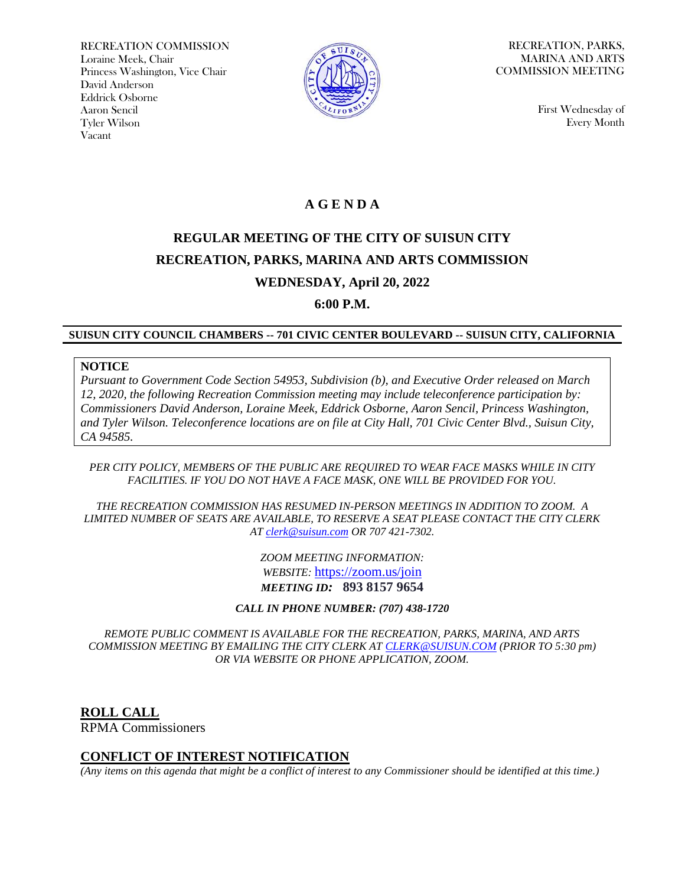RECREATION COMMISSION Loraine Meek, Chair Princess Washington, Vice Chair David Anderson Eddrick Osborne Aaron Sencil Tyler Wilson Vacant



RECREATION, PARKS, MARINA AND ARTS COMMISSION MEETING

> First Wednesday of Every Month

# **A G E N D A**

# **REGULAR MEETING OF THE CITY OF SUISUN CITY RECREATION, PARKS, MARINA AND ARTS COMMISSION WEDNESDAY, April 20, 2022**

**6:00 P.M.**

#### **SUISUN CITY COUNCIL CHAMBERS -- 701 CIVIC CENTER BOULEVARD -- SUISUN CITY, CALIFORNIA**

#### **NOTICE**

*Pursuant to Government Code Section 54953, Subdivision (b), and Executive Order released on March 12, 2020, the following Recreation Commission meeting may include teleconference participation by: Commissioners David Anderson, Loraine Meek, Eddrick Osborne, Aaron Sencil, Princess Washington, and Tyler Wilson. Teleconference locations are on file at City Hall, 701 Civic Center Blvd., Suisun City, CA 94585.*

#### *PER CITY POLICY, MEMBERS OF THE PUBLIC ARE REQUIRED TO WEAR FACE MASKS WHILE IN CITY FACILITIES. IF YOU DO NOT HAVE A FACE MASK, ONE WILL BE PROVIDED FOR YOU.*

*THE RECREATION COMMISSION HAS RESUMED IN-PERSON MEETINGS IN ADDITION TO ZOOM. A LIMITED NUMBER OF SEATS ARE AVAILABLE, TO RESERVE A SEAT PLEASE CONTACT THE CITY CLERK AT [clerk@suisun.com](mailto:clerk@suisun.com) OR 707 421-7302.* 

> *ZOOM MEETING INFORMATION: WEBSITE:* <https://zoom.us/join> *MEETING ID:* **893 8157 9654**

*CALL IN PHONE NUMBER: (707) 438-1720*

*REMOTE PUBLIC COMMENT IS AVAILABLE FOR THE RECREATION, PARKS, MARINA, AND ARTS COMMISSION MEETING BY EMAILING THE CITY CLERK AT [CLERK@SUISUN.COM](mailto:CLERK@SUISUN.COM) (PRIOR TO 5:30 pm) OR VIA WEBSITE OR PHONE APPLICATION, ZOOM.*

**ROLL CALL** RPMA Commissioners

#### **CONFLICT OF INTEREST NOTIFICATION**

*(Any items on this agenda that might be a conflict of interest to any Commissioner should be identified at this time.)*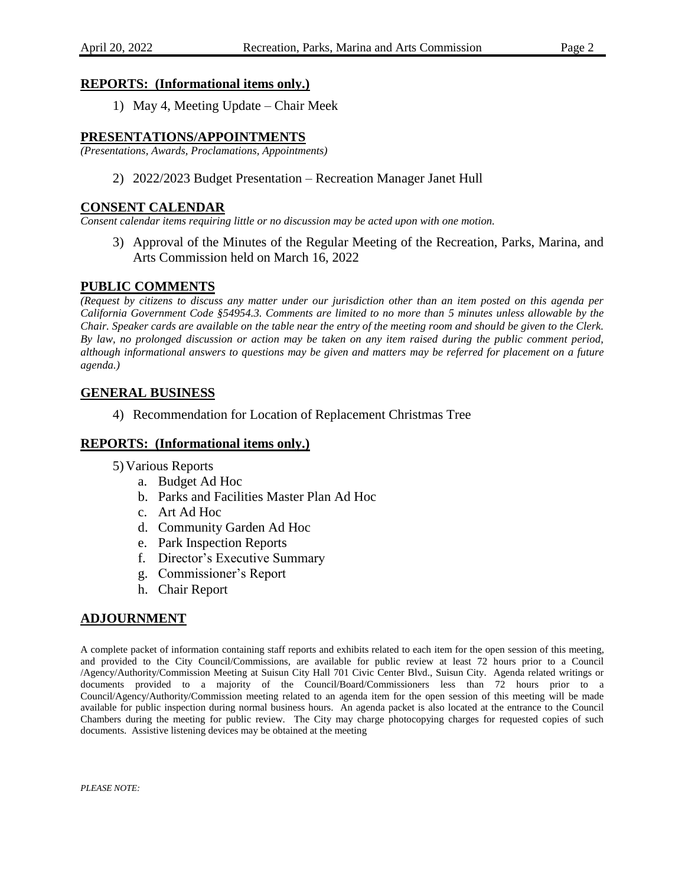## **REPORTS: (Informational items only.)**

1) May 4, Meeting Update – Chair Meek

## **PRESENTATIONS/APPOINTMENTS**

*(Presentations, Awards, Proclamations, Appointments)*

2) 2022/2023 Budget Presentation – Recreation Manager Janet Hull

#### **CONSENT CALENDAR**

*Consent calendar items requiring little or no discussion may be acted upon with one motion.*

3) Approval of the Minutes of the Regular Meeting of the Recreation, Parks, Marina, and Arts Commission held on March 16, 2022

# **PUBLIC COMMENTS**

*(Request by citizens to discuss any matter under our jurisdiction other than an item posted on this agenda per California Government Code §54954.3. Comments are limited to no more than 5 minutes unless allowable by the Chair. Speaker cards are available on the table near the entry of the meeting room and should be given to the Clerk. By law, no prolonged discussion or action may be taken on any item raised during the public comment period, although informational answers to questions may be given and matters may be referred for placement on a future agenda.)*

# **GENERAL BUSINESS**

4) Recommendation for Location of Replacement Christmas Tree

## **REPORTS: (Informational items only.)**

- 5) Various Reports
	- a. Budget Ad Hoc
	- b. Parks and Facilities Master Plan Ad Hoc
	- c. Art Ad Hoc
	- d. Community Garden Ad Hoc
	- e. Park Inspection Reports
	- f. Director's Executive Summary
	- g. Commissioner's Report
	- h. Chair Report

# **ADJOURNMENT**

A complete packet of information containing staff reports and exhibits related to each item for the open session of this meeting, and provided to the City Council/Commissions, are available for public review at least 72 hours prior to a Council /Agency/Authority/Commission Meeting at Suisun City Hall 701 Civic Center Blvd., Suisun City. Agenda related writings or documents provided to a majority of the Council/Board/Commissioners less than 72 hours prior to a Council/Agency/Authority/Commission meeting related to an agenda item for the open session of this meeting will be made available for public inspection during normal business hours. An agenda packet is also located at the entrance to the Council Chambers during the meeting for public review. The City may charge photocopying charges for requested copies of such documents. Assistive listening devices may be obtained at the meeting

*PLEASE NOTE:*